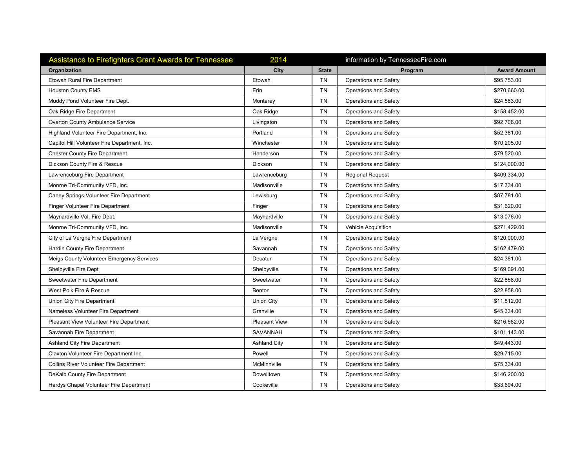| <b>Assistance to Firefighters Grant Awards for Tennessee</b> | 2014                 |              | information by TennesseeFire.com |                     |
|--------------------------------------------------------------|----------------------|--------------|----------------------------------|---------------------|
| Organization                                                 | City                 | <b>State</b> | Program                          | <b>Award Amount</b> |
| <b>Etowah Rural Fire Department</b>                          | Etowah               | <b>TN</b>    | Operations and Safety            | \$95.753.00         |
| <b>Houston County EMS</b>                                    | Erin                 | <b>TN</b>    | <b>Operations and Safety</b>     | \$270,660.00        |
| Muddy Pond Volunteer Fire Dept.                              | Monterey             | TN           | Operations and Safety            | \$24,583.00         |
| Oak Ridge Fire Department                                    | Oak Ridge            | <b>TN</b>    | <b>Operations and Safety</b>     | \$158,452.00        |
| <b>Overton County Ambulance Service</b>                      | Livingston           | TN           | Operations and Safety            | \$92,706.00         |
| Highland Volunteer Fire Department, Inc.                     | Portland             | <b>TN</b>    | Operations and Safety            | \$52,381.00         |
| Capitol Hill Volunteer Fire Department, Inc.                 | Winchester           | TN           | <b>Operations and Safety</b>     | \$70,205.00         |
| <b>Chester County Fire Department</b>                        | Henderson            | <b>TN</b>    | <b>Operations and Safety</b>     | \$79,520.00         |
| Dickson County Fire & Rescue                                 | Dickson              | TN           | Operations and Safety            | \$124,000.00        |
| Lawrenceburg Fire Department                                 | Lawrenceburg         | <b>TN</b>    | <b>Regional Request</b>          | \$409,334.00        |
| Monroe Tri-Community VFD, Inc.                               | Madisonville         | TN           | Operations and Safety            | \$17,334.00         |
| Caney Springs Volunteer Fire Department                      | Lewisburg            | <b>TN</b>    | <b>Operations and Safety</b>     | \$87,781.00         |
| Finger Volunteer Fire Department                             | Finger               | TN           | <b>Operations and Safety</b>     | \$31,620.00         |
| Maynardville Vol. Fire Dept.                                 | Maynardville         | <b>TN</b>    | <b>Operations and Safety</b>     | \$13,076.00         |
| Monroe Tri-Community VFD, Inc.                               | Madisonville         | <b>TN</b>    | Vehicle Acquisition              | \$271.429.00        |
| City of La Vergne Fire Department                            | La Vergne            | <b>TN</b>    | <b>Operations and Safety</b>     | \$120,000.00        |
| Hardin County Fire Department                                | Savannah             | <b>TN</b>    | <b>Operations and Safety</b>     | \$162,479.00        |
| Meigs County Volunteer Emergency Services                    | Decatur              | <b>TN</b>    | <b>Operations and Safety</b>     | \$24,381.00         |
| Shelbyville Fire Dept                                        | Shelbyville          | <b>TN</b>    | <b>Operations and Safety</b>     | \$169,091.00        |
| Sweetwater Fire Department                                   | Sweetwater           | <b>TN</b>    | <b>Operations and Safety</b>     | \$22,858.00         |
| West Polk Fire & Rescue                                      | <b>Benton</b>        | TN           | Operations and Safety            | \$22,858.00         |
| Union City Fire Department                                   | <b>Union City</b>    | <b>TN</b>    | <b>Operations and Safety</b>     | \$11,812.00         |
| Nameless Volunteer Fire Department                           | Granville            | TN           | <b>Operations and Safety</b>     | \$45,334.00         |
| Pleasant View Volunteer Fire Department                      | <b>Pleasant View</b> | <b>TN</b>    | <b>Operations and Safety</b>     | \$216,582.00        |
| Savannah Fire Department                                     | SAVANNAH             | TN           | Operations and Safety            | \$101,143.00        |
| Ashland City Fire Department                                 | <b>Ashland City</b>  | <b>TN</b>    | <b>Operations and Safety</b>     | \$49,443.00         |
| Claxton Volunteer Fire Department Inc.                       | Powell               | TN           | Operations and Safety            | \$29,715.00         |
| Collins River Volunteer Fire Department                      | McMinnville          | <b>TN</b>    | <b>Operations and Safety</b>     | \$75,334.00         |
|                                                              |                      |              |                                  |                     |
| DeKalb County Fire Department                                | Dowelltown           | <b>TN</b>    | <b>Operations and Safety</b>     | \$146,200.00        |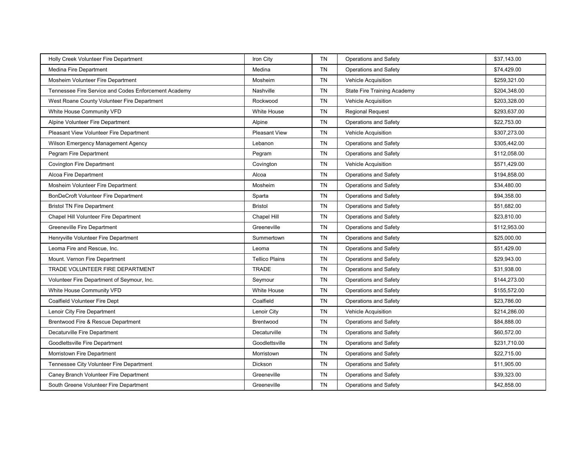| Holly Creek Volunteer Fire Department                | Iron City             | TN        | <b>Operations and Safety</b>       | \$37,143.00  |
|------------------------------------------------------|-----------------------|-----------|------------------------------------|--------------|
| Medina Fire Department                               | Medina                | <b>TN</b> | Operations and Safety              | \$74,429.00  |
| Mosheim Volunteer Fire Department                    | Mosheim               | TN        | Vehicle Acquisition                | \$259,321.00 |
| Tennessee Fire Service and Codes Enforcement Academy | Nashville             | <b>TN</b> | <b>State Fire Training Academy</b> | \$204,348.00 |
| West Roane County Volunteer Fire Department          | Rockwood              | TN        | Vehicle Acquisition                | \$203,328.00 |
| White House Community VFD                            | <b>White House</b>    | <b>TN</b> | <b>Regional Request</b>            | \$293,637.00 |
| Alpine Volunteer Fire Department                     | Alpine                | <b>TN</b> | <b>Operations and Safety</b>       | \$22,753.00  |
| Pleasant View Volunteer Fire Department              | <b>Pleasant View</b>  | <b>TN</b> | <b>Vehicle Acquisition</b>         | \$307,273.00 |
| Wilson Emergency Management Agency                   | Lebanon               | <b>TN</b> | <b>Operations and Safety</b>       | \$305,442.00 |
| Pegram Fire Department                               | Pegram                | <b>TN</b> | Operations and Safety              | \$112,058.00 |
| <b>Covington Fire Department</b>                     | Covington             | <b>TN</b> | Vehicle Acquisition                | \$571,429.00 |
| Alcoa Fire Department                                | Alcoa                 | <b>TN</b> | <b>Operations and Safety</b>       | \$194,858.00 |
| Mosheim Volunteer Fire Department                    | Mosheim               | <b>TN</b> | Operations and Safety              | \$34,480.00  |
| BonDeCroft Volunteer Fire Department                 | Sparta                | <b>TN</b> | <b>Operations and Safety</b>       | \$94,358.00  |
| <b>Bristol TN Fire Department</b>                    | <b>Bristol</b>        | <b>TN</b> | Operations and Safety              | \$51,682.00  |
| Chapel Hill Volunteer Fire Department                | Chapel Hill           | TN        | Operations and Safety              | \$23,810.00  |
| <b>Greeneville Fire Department</b>                   | Greeneville           | <b>TN</b> | Operations and Safety              | \$112.953.00 |
| Henryville Volunteer Fire Department                 | Summertown            | <b>TN</b> | Operations and Safety              | \$25,000.00  |
| Leoma Fire and Rescue, Inc.                          | Leoma                 | <b>TN</b> | Operations and Safety              | \$51,429.00  |
| Mount. Vernon Fire Department                        | <b>Tellico Plains</b> | TN        | <b>Operations and Safety</b>       | \$29,943.00  |
| TRADE VOLUNTEER FIRE DEPARTMENT                      | <b>TRADE</b>          | <b>TN</b> | Operations and Safety              | \$31,938.00  |
| Volunteer Fire Department of Seymour, Inc.           | Seymour               | TN        | <b>Operations and Safety</b>       | \$144,273.00 |
| White House Community VFD                            | <b>White House</b>    | <b>TN</b> | Operations and Safety              | \$155,572.00 |
| Coalfield Volunteer Fire Dept                        | Coalfield             | <b>TN</b> | <b>Operations and Safety</b>       | \$23,786.00  |
| Lenoir City Fire Department                          | Lenoir City           | <b>TN</b> | Vehicle Acquisition                | \$214,286.00 |
| Brentwood Fire & Rescue Department                   | Brentwood             | <b>TN</b> | <b>Operations and Safety</b>       | \$84,888.00  |
| Decaturville Fire Department                         | Decaturville          | <b>TN</b> | Operations and Safety              | \$60,572.00  |
| Goodlettsville Fire Department                       | Goodlettsville        | <b>TN</b> | Operations and Safety              | \$231.710.00 |
| Morristown Fire Department                           | Morristown            | TN        | <b>Operations and Safety</b>       | \$22,715.00  |
| Tennessee City Volunteer Fire Department             | Dickson               | <b>TN</b> | <b>Operations and Safety</b>       | \$11,905.00  |
| Caney Branch Volunteer Fire Department               | Greeneville           | TN        | Operations and Safety              | \$39,323.00  |
| South Greene Volunteer Fire Department               | Greeneville           | <b>TN</b> | Operations and Safety              | \$42,858.00  |